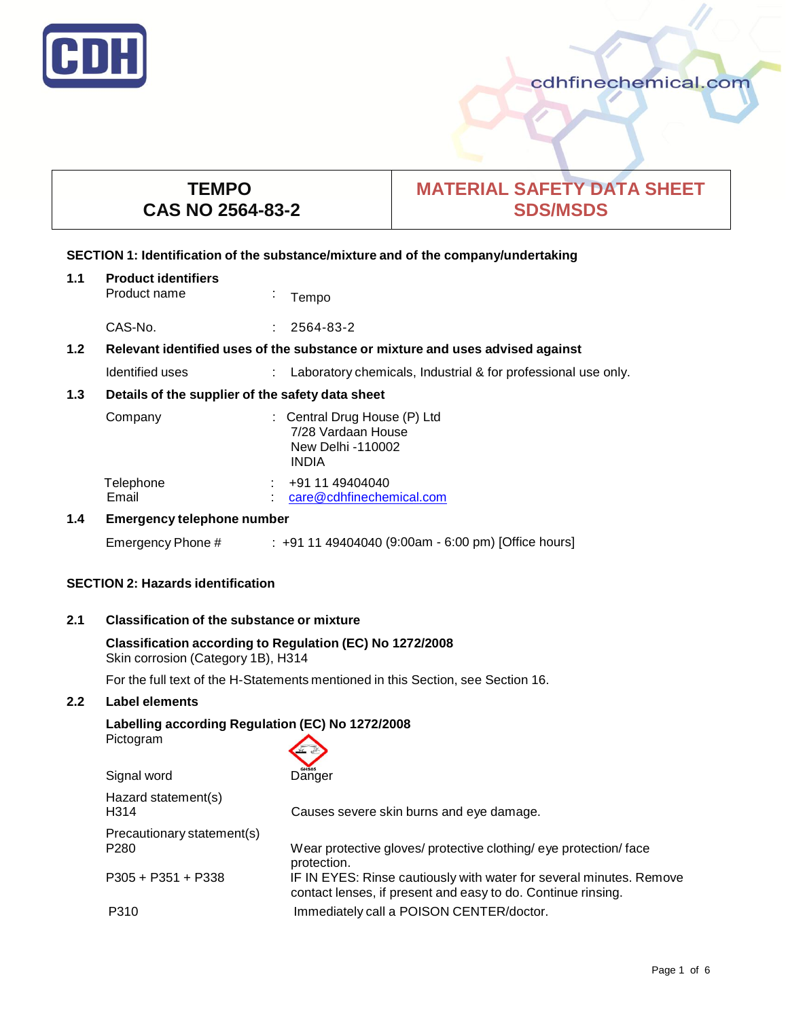

# **TEMPO CAS NO 2564-83-2**

# **MATERIAL SAFETY DATA SHEET SDS/MSDS**

# **SECTION 1: Identification of the substance/mixture and of the company/undertaking**

| 1.1                                                     | <b>Product identifiers</b><br>Product name                                    | ÷ | Tempo                                                                                   |
|---------------------------------------------------------|-------------------------------------------------------------------------------|---|-----------------------------------------------------------------------------------------|
|                                                         | CAS-No.                                                                       |   | 2564-83-2                                                                               |
| 1.2                                                     | Relevant identified uses of the substance or mixture and uses advised against |   |                                                                                         |
|                                                         | Identified uses                                                               |   | Laboratory chemicals, Industrial & for professional use only.                           |
| 1.3<br>Details of the supplier of the safety data sheet |                                                                               |   |                                                                                         |
|                                                         | Company                                                                       |   | : Central Drug House (P) Ltd<br>7/28 Vardaan House<br>New Delhi -110002<br><b>INDIA</b> |
|                                                         | Telephone<br>Email                                                            |   | +91 11 49404040<br>care@cdhfinechemical.com                                             |
| 1.4                                                     | Emergency telephone number                                                    |   |                                                                                         |

Emergency Phone # : +91 11 49404040 (9:00am - 6:00 pm) [Office hours]

## **SECTION 2: Hazards identification**

## **2.1 Classification of the substance or mixture**

## **Classification according to Regulation (EC) No 1272/2008** Skin corrosion (Category 1B), H314

For the full text of the H-Statements mentioned in this Section, see Section 16.

## **2.2 Label elements**

## **Labelling according Regulation (EC) No 1272/2008**

Pictogram

Signal word

| GHS05  |  |
|--------|--|
| Danger |  |

| Hazard statement(s)<br>H <sub>3</sub> 14       | Causes severe skin burns and eye damage.                                                                                            |
|------------------------------------------------|-------------------------------------------------------------------------------------------------------------------------------------|
| Precautionary statement(s)<br>P <sub>280</sub> | Wear protective gloves/ protective clothing/ eye protection/ face<br>protection.                                                    |
| $P305 + P351 + P338$                           | IF IN EYES: Rinse cautiously with water for several minutes. Remove<br>contact lenses, if present and easy to do. Continue rinsing. |
| P310                                           | Immediately call a POISON CENTER/doctor.                                                                                            |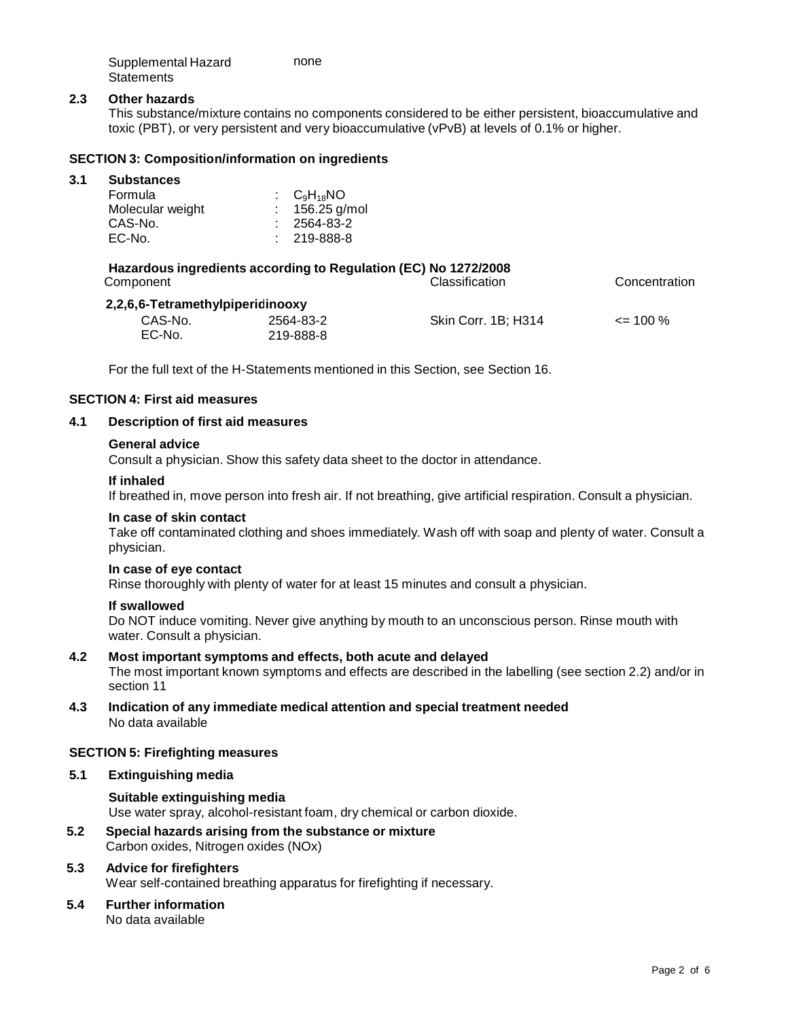| Supplemental Hazard | none |
|---------------------|------|
| Statements          |      |

### **2.3 Other hazards**

This substance/mixture contains no components considered to be either persistent, bioaccumulative and toxic (PBT), or very persistent and very bioaccumulative (vPvB) at levels of 0.1% or higher.

### **SECTION 3: Composition/information on ingredients**

### **3.1 Substances**

| Formula          | $C_9H_{18}NO$     |  |
|------------------|-------------------|--|
| Molecular weight | : $156.25$ g/mol  |  |
| CAS-No.          | $: 2564 - 83 - 2$ |  |
| EC-No.           | $: 219 - 888 - 8$ |  |

| Hazardous ingredients according to Regulation (EC) No 1272/2008 |                |  |  |
|-----------------------------------------------------------------|----------------|--|--|
| Component                                                       | Classification |  |  |
|                                                                 |                |  |  |

| 2,2,6,6-Tetramethylpiperidinooxy |           |                            |              |  |
|----------------------------------|-----------|----------------------------|--------------|--|
| CAS-No.                          | 2564-83-2 | <b>Skin Corr. 1B: H314</b> | $\leq$ 100 % |  |
| EC-No.                           | 219-888-8 |                            |              |  |

For the full text of the H-Statements mentioned in this Section, see Section 16.

#### **SECTION 4: First aid measures**

### **4.1 Description of first aid measures**

#### **General advice**

Consult a physician. Show this safety data sheet to the doctor in attendance.

#### **If inhaled**

If breathed in, move person into fresh air. If not breathing, give artificial respiration. Consult a physician.

#### **In case of skin contact**

Take off contaminated clothing and shoes immediately. Wash off with soap and plenty of water. Consult a physician.

### **In case of eye contact**

Rinse thoroughly with plenty of water for at least 15 minutes and consult a physician.

#### **If swallowed**

Do NOT induce vomiting. Never give anything by mouth to an unconscious person. Rinse mouth with water. Consult a physician.

#### **4.2 Most important symptoms and effects, both acute and delayed**

The most important known symptoms and effects are described in the labelling (see section 2.2) and/or in section 11

### **4.3 Indication of any immediate medical attention and special treatment needed** No data available

## **SECTION 5: Firefighting measures**

#### **5.1 Extinguishing media**

# **Suitable extinguishing media** Use water spray, alcohol-resistant foam, dry chemical or carbon dioxide.

**5.2 Special hazards arising from the substance or mixture** Carbon oxides, Nitrogen oxides (NOx)

# **5.3 Advice for firefighters**

Wear self-contained breathing apparatus for firefighting if necessary.

# **5.4 Further information**

No data available

**Concentration**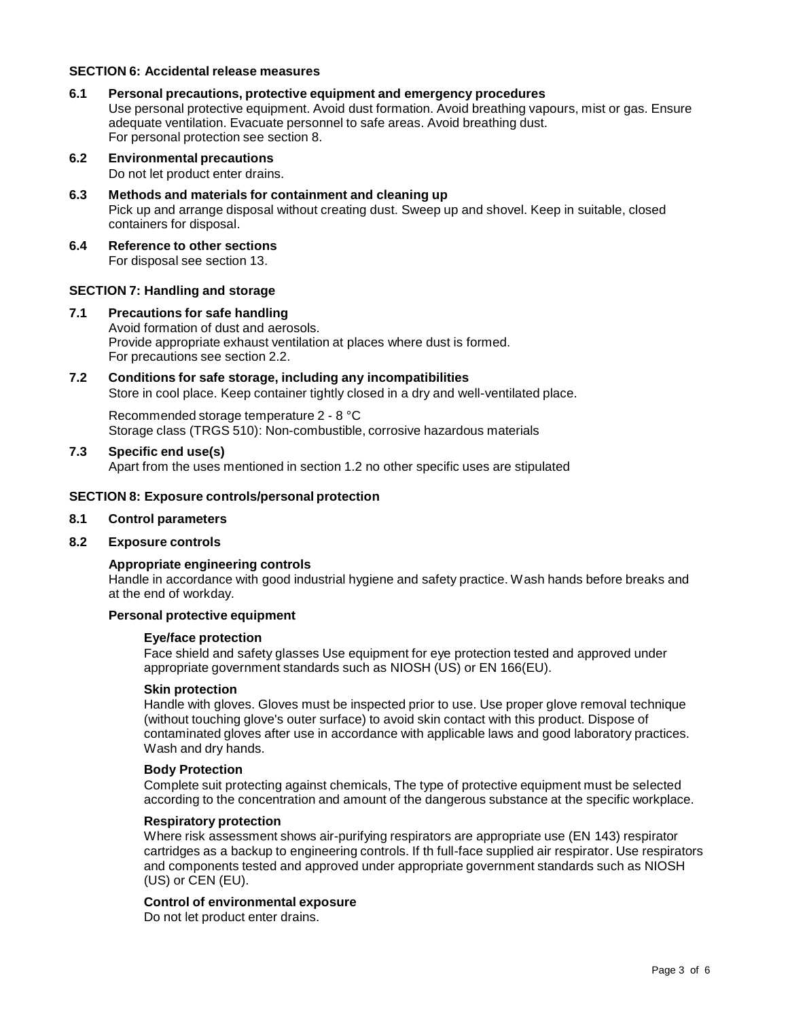## **SECTION 6: Accidental release measures**

- **6.1 Personal precautions, protective equipment and emergency procedures** Use personal protective equipment. Avoid dust formation. Avoid breathing vapours, mist or gas. Ensure adequate ventilation. Evacuate personnel to safe areas. Avoid breathing dust. For personal protection see section 8.
- **6.2 Environmental precautions**

Do not let product enter drains.

- **6.3 Methods and materials for containment and cleaning up** Pick up and arrange disposal without creating dust. Sweep up and shovel. Keep in suitable, closed containers for disposal.
- **6.4 Reference to other sections** For disposal see section 13.

## **SECTION 7: Handling and storage**

**7.1 Precautions for safe handling** Avoid formation of dust and aerosols. Provide appropriate exhaust ventilation at places where dust is formed. For precautions see section 2.2.

# **7.2 Conditions for safe storage, including any incompatibilities**

Store in cool place. Keep container tightly closed in a dry and well-ventilated place.

Recommended storage temperature 2 - 8 °C Storage class (TRGS 510): Non-combustible, corrosive hazardous materials

### **7.3 Specific end use(s)**

Apart from the uses mentioned in section 1.2 no other specific uses are stipulated

### **SECTION 8: Exposure controls/personal protection**

#### **8.1 Control parameters**

#### **8.2 Exposure controls**

## **Appropriate engineering controls**

Handle in accordance with good industrial hygiene and safety practice. Wash hands before breaks and at the end of workday.

#### **Personal protective equipment**

#### **Eye/face protection**

Face shield and safety glasses Use equipment for eye protection tested and approved under appropriate government standards such as NIOSH (US) or EN 166(EU).

### **Skin protection**

Handle with gloves. Gloves must be inspected prior to use. Use proper glove removal technique (without touching glove's outer surface) to avoid skin contact with this product. Dispose of contaminated gloves after use in accordance with applicable laws and good laboratory practices. Wash and dry hands.

#### **Body Protection**

Complete suit protecting against chemicals, The type of protective equipment must be selected according to the concentration and amount of the dangerous substance at the specific workplace.

#### **Respiratory protection**

Where risk assessment shows air-purifying respirators are appropriate use (EN 143) respirator cartridges as a backup to engineering controls. If th full-face supplied air respirator. Use respirators and components tested and approved under appropriate government standards such as NIOSH (US) or CEN (EU).

#### **Control of environmental exposure**

Do not let product enter drains.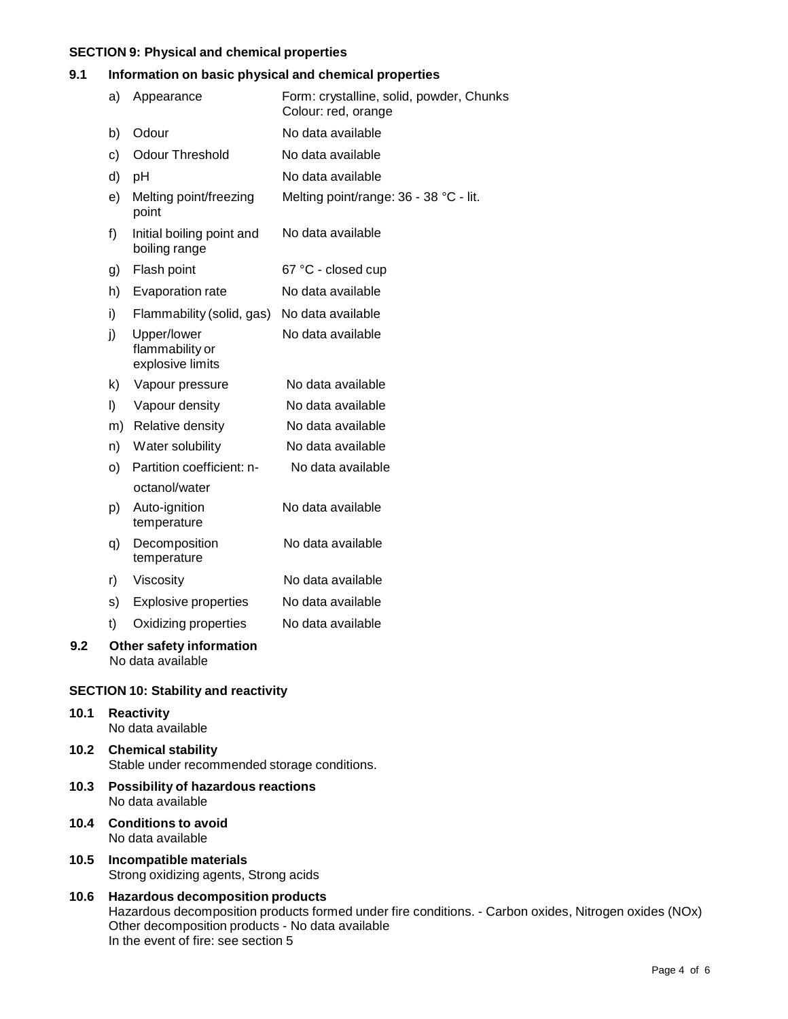# **SECTION 9: Physical and chemical properties**

### **9.1 Information on basic physical and chemical properties**

|     | a) | Appearance                                         | Form: crystalline, solid, powder, Chunks<br>Colour: red, orange |
|-----|----|----------------------------------------------------|-----------------------------------------------------------------|
|     | b) | Odour                                              | No data available                                               |
|     | c) | <b>Odour Threshold</b>                             | No data available                                               |
|     | d) | pH                                                 | No data available                                               |
|     | e) | Melting point/freezing<br>point                    | Melting point/range: 36 - 38 °C - lit.                          |
|     | f) | Initial boiling point and<br>boiling range         | No data available                                               |
|     | g) | Flash point                                        | 67 °C - closed cup                                              |
|     | h) | Evaporation rate                                   | No data available                                               |
|     | i) | Flammability (solid, gas)                          | No data available                                               |
|     | j) | Upper/lower<br>flammability or<br>explosive limits | No data available                                               |
|     | k) | Vapour pressure                                    | No data available                                               |
|     | I) | Vapour density                                     | No data available                                               |
|     | m) | Relative density                                   | No data available                                               |
|     | n) | Water solubility                                   | No data available                                               |
|     | O) | Partition coefficient: n-                          | No data available                                               |
|     |    | octanol/water                                      |                                                                 |
|     | p) | Auto-ignition<br>temperature                       | No data available                                               |
|     | q) | Decomposition<br>temperature                       | No data available                                               |
|     | r) | Viscosity                                          | No data available                                               |
|     | s) | <b>Explosive properties</b>                        | No data available                                               |
|     | t) | Oxidizing properties                               | No data available                                               |
| 9.2 |    | Other safety information<br>No data available      |                                                                 |

# **SECTION 10: Stability and reactivity**

- **10.1 Reactivity** No data available
- **10.2 Chemical stability** Stable under recommended storage conditions.
- **10.3 Possibility of hazardous reactions** No data available
- **10.4 Conditions to avoid** No data available
- **10.5 Incompatible materials** Strong oxidizing agents, Strong acids
- **10.6 Hazardous decomposition products** Hazardous decomposition products formed under fire conditions. - Carbon oxides, Nitrogen oxides (NOx) Other decomposition products - No data available In the event of fire: see section 5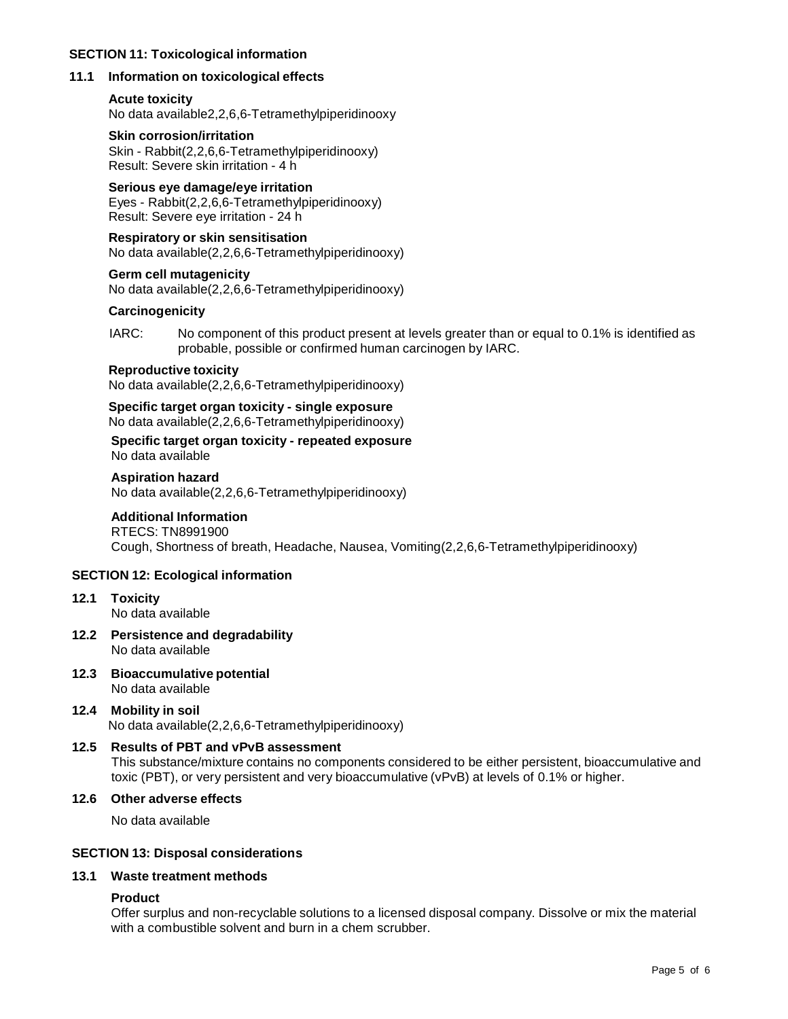## **SECTION 11: Toxicological information**

# **11.1 Information on toxicological effects**

# **Acute toxicity**

No data available2,2,6,6-Tetramethylpiperidinooxy

# **Skin corrosion/irritation**

Skin - Rabbit(2,2,6,6-Tetramethylpiperidinooxy) Result: Severe skin irritation - 4 h

# **Serious eye damage/eye irritation**

Eyes - Rabbit(2,2,6,6-Tetramethylpiperidinooxy) Result: Severe eye irritation - 24 h

**Respiratory or skin sensitisation** No data available(2,2,6,6-Tetramethylpiperidinooxy)

**Germ cell mutagenicity** No data available(2,2,6,6-Tetramethylpiperidinooxy)

# **Carcinogenicity**

IARC: No component of this product present at levels greater than or equal to 0.1% is identified as probable, possible or confirmed human carcinogen by IARC.

# **Reproductive toxicity**

No data available(2,2,6,6-Tetramethylpiperidinooxy)

## **Specific target organ toxicity - single exposure** No data available(2,2,6,6-Tetramethylpiperidinooxy)

### **Specific target organ toxicity - repeated exposure** No data available

# **Aspiration hazard**

No data available(2,2,6,6-Tetramethylpiperidinooxy)

# **Additional Information**

RTECS: TN8991900 Cough, Shortness of breath, Headache, Nausea, Vomiting(2,2,6,6-Tetramethylpiperidinooxy)

# **SECTION 12: Ecological information**

# **12.1 Toxicity**

No data available

- **12.2 Persistence and degradability** No data available
- **12.3 Bioaccumulative potential** No data available

# **12.4 Mobility in soil** No data available(2,2,6,6-Tetramethylpiperidinooxy)

# **12.5 Results of PBT and vPvB assessment** This substance/mixture contains no components considered to be either persistent, bioaccumulative and toxic (PBT), or very persistent and very bioaccumulative (vPvB) at levels of 0.1% or higher.

# **12.6 Other adverse effects**

No data available

# **SECTION 13: Disposal considerations**

# **13.1 Waste treatment methods**

# **Product**

Offer surplus and non-recyclable solutions to a licensed disposal company. Dissolve or mix the material with a combustible solvent and burn in a chem scrubber.